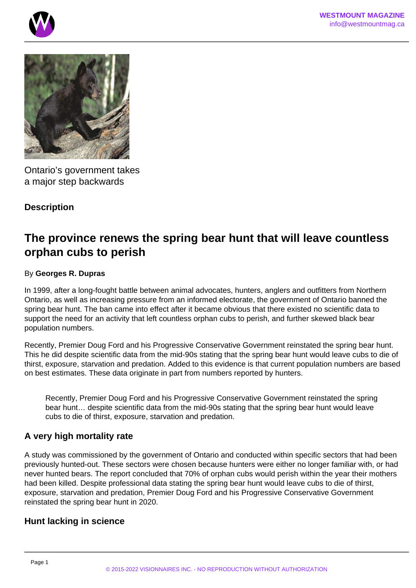



Ontario's government takes a major step backwards

# **Description**

# **The province renews the spring bear hunt that will leave countless orphan cubs to perish**

### By **Georges R. Dupras**

In 1999, after a long-fought battle between animal advocates, hunters, anglers and outfitters from Northern Ontario, as well as increasing pressure from an informed electorate, the government of Ontario banned the spring bear hunt. The ban came into effect after it became obvious that there existed no scientific data to support the need for an activity that left countless orphan cubs to perish, and further skewed black bear population numbers.

Recently, Premier Doug Ford and his Progressive Conservative Government reinstated the spring bear hunt. This he did despite scientific data from the mid-90s stating that the spring bear hunt would leave cubs to die of thirst, exposure, starvation and predation. Added to this evidence is that current population numbers are based on best estimates. These data originate in part from numbers reported by hunters.

Recently, Premier Doug Ford and his Progressive Conservative Government reinstated the spring bear hunt… despite scientific data from the mid-90s stating that the spring bear hunt would leave cubs to die of thirst, exposure, starvation and predation.

# **A very high mortality rate**

A study was commissioned by the government of Ontario and conducted within specific sectors that had been previously hunted-out. These sectors were chosen because hunters were either no longer familiar with, or had never hunted bears. The report concluded that 70% of orphan cubs would perish within the year their mothers had been killed. Despite professional data stating the spring bear hunt would leave cubs to die of thirst, exposure, starvation and predation, Premier Doug Ford and his Progressive Conservative Government reinstated the spring bear hunt in 2020.

# **Hunt lacking in science**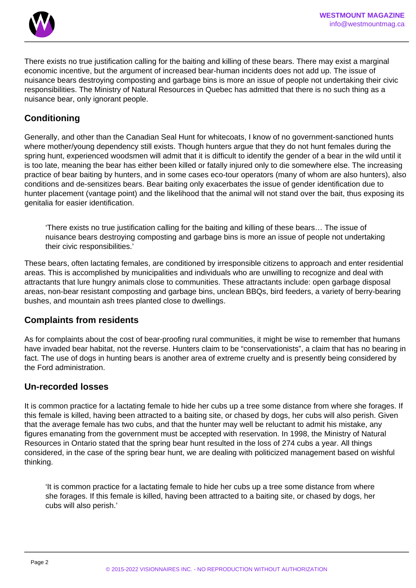

There exists no true justification calling for the baiting and killing of these bears. There may exist a marginal economic incentive, but the argument of increased bear-human incidents does not add up. The issue of nuisance bears destroying composting and garbage bins is more an issue of people not undertaking their civic responsibilities. The Ministry of Natural Resources in Quebec has admitted that there is no such thing as a nuisance bear, only ignorant people.

# **Conditioning**

Generally, and other than the Canadian Seal Hunt for whitecoats, I know of no government-sanctioned hunts where mother/young dependency still exists. Though hunters argue that they do not hunt females during the spring hunt, experienced woodsmen will admit that it is difficult to identify the gender of a bear in the wild until it is too late, meaning the bear has either been killed or fatally injured only to die somewhere else. The increasing practice of bear baiting by hunters, and in some cases eco-tour operators (many of whom are also hunters), also conditions and de-sensitizes bears. Bear baiting only exacerbates the issue of gender identification due to hunter placement (vantage point) and the likelihood that the animal will not stand over the bait, thus exposing its genitalia for easier identification.

'There exists no true justification calling for the baiting and killing of these bears… The issue of nuisance bears destroying composting and garbage bins is more an issue of people not undertaking their civic responsibilities.'

These bears, often lactating females, are conditioned by irresponsible citizens to approach and enter residential areas. This is accomplished by municipalities and individuals who are unwilling to recognize and deal with attractants that lure hungry animals close to communities. These attractants include: open garbage disposal areas, non-bear resistant composting and garbage bins, unclean BBQs, bird feeders, a variety of berry-bearing bushes, and mountain ash trees planted close to dwellings.

## **Complaints from residents**

As for complaints about the cost of bear-proofing rural communities, it might be wise to remember that humans have invaded bear habitat, not the reverse. Hunters claim to be "conservationists", a claim that has no bearing in fact. The use of dogs in hunting bears is another area of extreme cruelty and is presently being considered by the Ford administration.

## **Un-recorded losses**

It is common practice for a lactating female to hide her cubs up a tree some distance from where she forages. If this female is killed, having been attracted to a baiting site, or chased by dogs, her cubs will also perish. Given that the average female has two cubs, and that the hunter may well be reluctant to admit his mistake, any figures emanating from the government must be accepted with reservation. In 1998, the Ministry of Natural Resources in Ontario stated that the spring bear hunt resulted in the loss of 274 cubs a year. All things considered, in the case of the spring bear hunt, we are dealing with politicized management based on wishful thinking.

'It is common practice for a lactating female to hide her cubs up a tree some distance from where she forages. If this female is killed, having been attracted to a baiting site, or chased by dogs, her cubs will also perish.'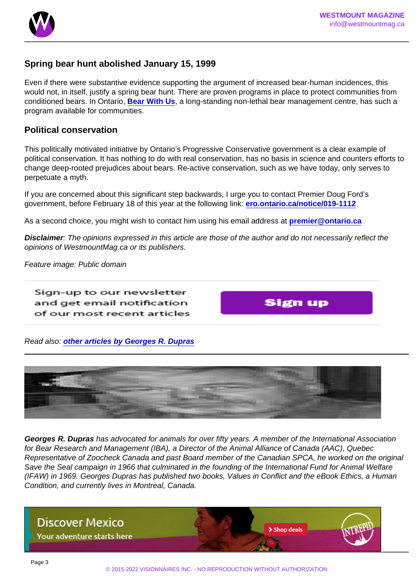### Spring bear hunt abolished January 15, 1999

Even if there were substantive evidence supporting the argument of increased bear-human incidences, this would not, in itself, justify a spring bear hunt. There are proven programs in place to protect communities from conditioned bears. In Ontario, [Bear With Us](https://bearwithus.org/) , a long-standing non-lethal bear management centre, has such a program available for communities.

#### Political conservation

This politically motivated initiative by Ontario's Progressive Conservative government is a clear example of political conservation. It has nothing to do with real conservation, has no basis in science and counters efforts to change deep-rooted prejudices about bears. Re-active conservation, such as we have today, only serves to perpetuate a myth.

If you are concerned about this significant step backwards, I urge you to contact Premier Doug Ford's government, before February 18 of this year at the following link: [ero.ontario.ca/notice/019-1112](https://ero.ontario.ca/notice/019-1112)

As a second choice, you might wish to contact him using his email address at [premier@ontario.ca](mailto:premier@ontario.ca)

Disclaimer : The opinions expressed in this article are those of the author and do not necessarily reflect the opinions of WestmountMag.ca or its publishers.

Feature image: Public domain

Read also: [other articles by Georges R. Dupras](https://www.westmountmag.ca/?s=georges+dupras)

Georges R. Dupras has advocated for animals for over fifty years. A member of the International Association for Bear Research and Management (IBA), a Director of the Animal Alliance of Canada (AAC), Quebec Representative of Zoocheck Canada and past Board member of the Canadian SPCA, he worked on the original Save the Seal campaign in 1966 that culminated in the founding of the International Fund for Animal Welfare (IFAW) in 1969. Georges Dupras has published two books, Values in Conflict and the eBook Ethics, a Human Condition, and currently lives in Montreal, Canada.